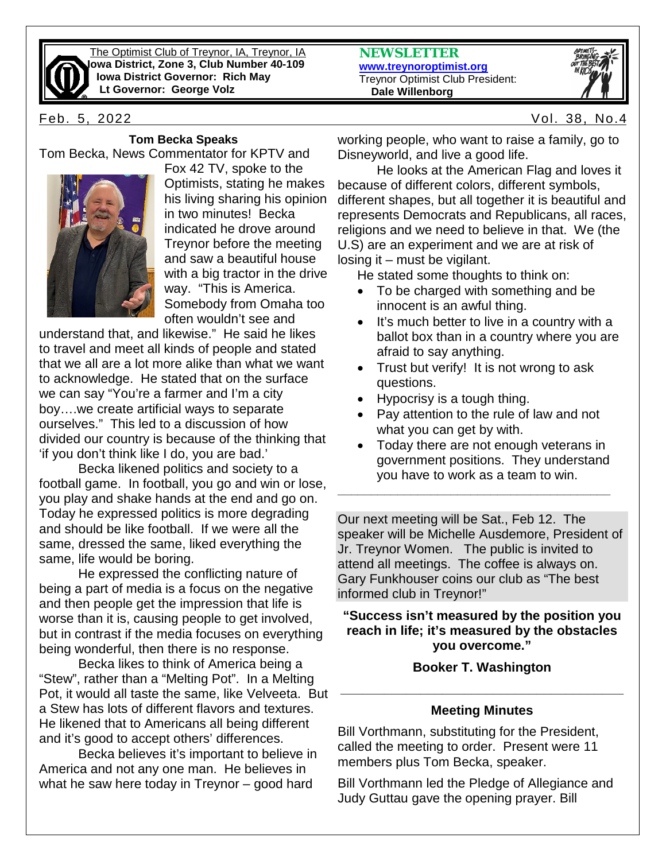

The Optimist Club of Treynor, IA, Treynor, IA **Iowa District, Zone 3, Club Number 40-109 Iowa District Governor: Rich May Lt Governor: George Volz**

#### **Tom Becka Speaks**

Tom Becka, News Commentator for KPTV and



Fox 42 TV, spoke to the Optimists, stating he makes his living sharing his opinion in two minutes! Becka indicated he drove around Treynor before the meeting and saw a beautiful house with a big tractor in the drive way. "This is America. Somebody from Omaha too often wouldn't see and

understand that, and likewise." He said he likes to travel and meet all kinds of people and stated that we all are a lot more alike than what we want to acknowledge. He stated that on the surface we can say "You're a farmer and I'm a city boy….we create artificial ways to separate ourselves." This led to a discussion of how divided our country is because of the thinking that 'if you don't think like I do, you are bad.'

Becka likened politics and society to a football game. In football, you go and win or lose, you play and shake hands at the end and go on. Today he expressed politics is more degrading and should be like football. If we were all the same, dressed the same, liked everything the same, life would be boring.

He expressed the conflicting nature of being a part of media is a focus on the negative and then people get the impression that life is worse than it is, causing people to get involved, but in contrast if the media focuses on everything being wonderful, then there is no response.

Becka likes to think of America being a "Stew", rather than a "Melting Pot". In a Melting Pot, it would all taste the same, like Velveeta. But a Stew has lots of different flavors and textures. He likened that to Americans all being different and it's good to accept others' differences.

Becka believes it's important to believe in America and not any one man. He believes in what he saw here today in Treynor – good hard

**NEWSLETTER [www.treynoroptimist.org](http://www.treynoroptimist.org/)** Treynor Optimist Club President:  **Dale Willenborg**



Feb. 5, 2022 Vol. 38, No.4

working people, who want to raise a family, go to Disneyworld, and live a good life.

He looks at the American Flag and loves it because of different colors, different symbols, different shapes, but all together it is beautiful and represents Democrats and Republicans, all races, religions and we need to believe in that. We (the U.S) are an experiment and we are at risk of losing it – must be vigilant.

He stated some thoughts to think on:

- To be charged with something and be innocent is an awful thing.
- It's much better to live in a country with a ballot box than in a country where you are afraid to say anything.
- Trust but verify! It is not wrong to ask questions.
- Hypocrisy is a tough thing.
- Pay attention to the rule of law and not what you can get by with.
- Today there are not enough veterans in government positions. They understand you have to work as a team to win.

**\_\_\_\_\_\_\_\_\_\_\_\_\_\_\_\_\_\_\_\_\_\_\_\_\_\_\_\_\_\_\_\_\_\_\_\_\_\_\_\_\_**

Our next meeting will be Sat., Feb 12. The speaker will be Michelle Ausdemore, President of Jr. Treynor Women. The public is invited to attend all meetings. The coffee is always on. Gary Funkhouser coins our club as "The best informed club in Treynor!"

### **"Success isn't measured by the position you reach in life; it's measured by the obstacles you overcome."**

## **Booker T. Washington**

# **\_\_\_\_\_\_\_\_\_\_\_\_\_\_\_\_\_\_\_\_\_\_\_\_\_\_\_\_\_\_\_\_\_\_\_\_\_\_\_ Meeting Minutes**

Bill Vorthmann, substituting for the President, called the meeting to order. Present were 11 members plus Tom Becka, speaker.

Bill Vorthmann led the Pledge of Allegiance and Judy Guttau gave the opening prayer. Bill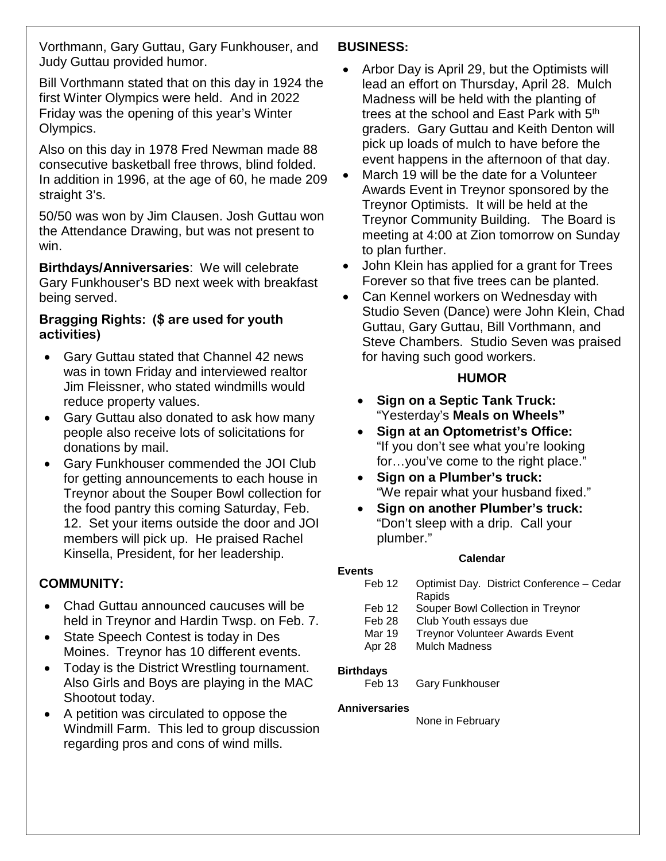Vorthmann, Gary Guttau, Gary Funkhouser, and Judy Guttau provided humor.

Bill Vorthmann stated that on this day in 1924 the first Winter Olympics were held. And in 2022 Friday was the opening of this year's Winter Olympics.

Also on this day in 1978 Fred Newman made 88 consecutive basketball free throws, blind folded. In addition in 1996, at the age of 60, he made 209 straight 3's.

50/50 was won by Jim Clausen. Josh Guttau won the Attendance Drawing, but was not present to win.

**Birthdays/Anniversaries**: We will celebrate Gary Funkhouser's BD next week with breakfast being served.

### **Bragging Rights: (\$ are used for youth activities)**

- Gary Guttau stated that Channel 42 news was in town Friday and interviewed realtor Jim Fleissner, who stated windmills would reduce property values.
- Gary Guttau also donated to ask how many people also receive lots of solicitations for donations by mail.
- Gary Funkhouser commended the JOI Club for getting announcements to each house in Treynor about the Souper Bowl collection for the food pantry this coming Saturday, Feb. 12. Set your items outside the door and JOI members will pick up. He praised Rachel Kinsella, President, for her leadership.

## **COMMUNITY:**

- Chad Guttau announced caucuses will be held in Treynor and Hardin Twsp. on Feb. 7.
- State Speech Contest is today in Des Moines. Treynor has 10 different events.
- Today is the District Wrestling tournament. Also Girls and Boys are playing in the MAC Shootout today.
- A petition was circulated to oppose the Windmill Farm. This led to group discussion regarding pros and cons of wind mills.

## **BUSINESS:**

- Arbor Day is April 29, but the Optimists will lead an effort on Thursday, April 28. Mulch Madness will be held with the planting of trees at the school and East Park with 5<sup>th</sup> graders. Gary Guttau and Keith Denton will pick up loads of mulch to have before the event happens in the afternoon of that day.
- March 19 will be the date for a Volunteer Awards Event in Treynor sponsored by the Treynor Optimists. It will be held at the Treynor Community Building. The Board is meeting at 4:00 at Zion tomorrow on Sunday to plan further.
- John Klein has applied for a grant for Trees Forever so that five trees can be planted.
- Can Kennel workers on Wednesday with Studio Seven (Dance) were John Klein, Chad Guttau, Gary Guttau, Bill Vorthmann, and Steve Chambers. Studio Seven was praised for having such good workers.

## **HUMOR**

- **Sign on a Septic Tank Truck:** "Yesterday's **Meals on Wheels"**
- **Sign at an Optometrist's Office:** "If you don't see what you're looking for…you've come to the right place."
- **Sign on a Plumber's truck:** "We repair what your husband fixed."
- **Sign on another Plumber's truck:** "Don't sleep with a drip. Call your plumber."

### **Calendar**

| <b>Events</b>     |                                           |
|-------------------|-------------------------------------------|
| Feb 12            | Optimist Day. District Conference - Cedar |
|                   | Rapids                                    |
| Feb 12            | Souper Bowl Collection in Treynor         |
| Feb <sub>28</sub> | Club Youth essays due                     |
| Mar 19            | <b>Treynor Volunteer Awards Event</b>     |
| Apr 28            | <b>Mulch Madness</b>                      |
| <b>Birthdays</b>  |                                           |
| Feb 13            | <b>Gary Funkhouser</b>                    |

**Gary Funkhouser** 

### **Anniversaries**

None in February